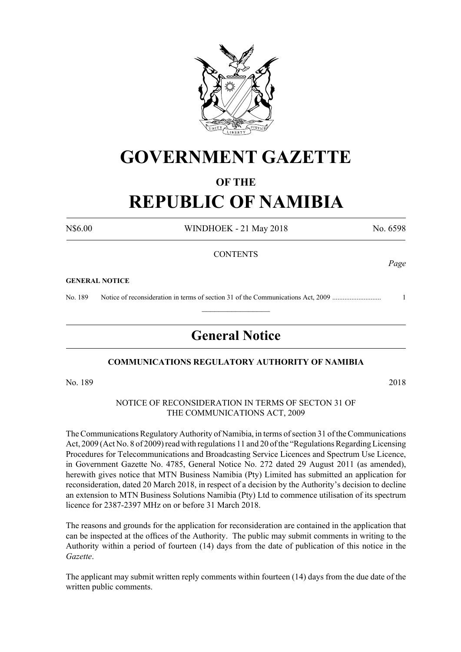

# **GOVERNMENT GAZETTE**

# **OF THE**

# **REPUBLIC OF NAMIBIA**

N\$6.00 WINDHOEK - 21 May 2018 No. 6598

*Page*

## **CONTENTS**

#### **GENERAL NOTICE**

No. 189 Notice of reconsideration in terms of section 31 of the Communications Act, 2009 ............................ 1

# **General Notice**

 $\frac{1}{2}$ 

### **COMMUNICATIONS REGULATORY AUTHORITY OF NAMIBIA**

No. 189 2018

## NOTICE OF RECONSIDERATION IN TERMS OF SECTON 31 OF THE COMMUNICATIONS ACT, 2009

The Communications Regulatory Authority of Namibia, in terms of section 31 of the Communications Act, 2009 (Act No. 8 of 2009) read with regulations 11 and 20 of the "Regulations Regarding Licensing Procedures for Telecommunications and Broadcasting Service Licences and Spectrum Use Licence, in Government Gazette No. 4785, General Notice No. 272 dated 29 August 2011 (as amended), herewith gives notice that MTN Business Namibia (Pty) Limited has submitted an application for reconsideration, dated 20 March 2018, in respect of a decision by the Authority's decision to decline an extension to MTN Business Solutions Namibia (Pty) Ltd to commence utilisation of its spectrum licence for 2387-2397 MHz on or before 31 March 2018.

The reasons and grounds for the application for reconsideration are contained in the application that can be inspected at the offices of the Authority. The public may submit comments in writing to the Authority within a period of fourteen (14) days from the date of publication of this notice in the *Gazette*.

The applicant may submit written reply comments within fourteen (14) days from the due date of the written public comments.